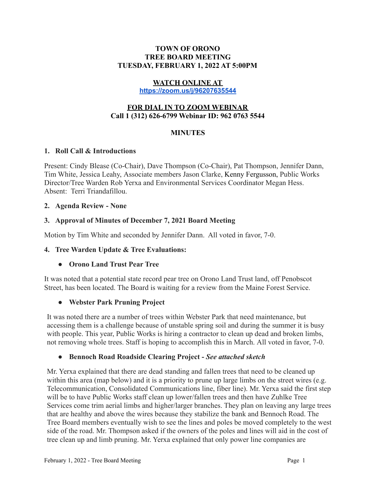#### **TOWN OF ORONO TREE BOARD MEETING TUESDAY, FEBRUARY 1, 2022 AT 5:00PM**

### **WATCH ONLINE AT**

**<https://zoom.us/j/96207635544>**

### **FOR DIAL IN TO ZOOM WEBINAR Call 1 (312) 626-6799 Webinar ID: 962 0763 5544**

### **MINUTES**

### **1. Roll Call & Introductions**

Present: Cindy Blease (Co-Chair), Dave Thompson (Co-Chair), Pat Thompson, Jennifer Dann, Tim White, Jessica Leahy, Associate members Jason Clarke, Kenny Fergusson, Public Works Director/Tree Warden Rob Yerxa and Environmental Services Coordinator Megan Hess. Absent: Terri Triandafillou.

#### **2. Agenda Review - None**

### **3. Approval of Minutes of December 7, 2021 Board Meeting**

Motion by Tim White and seconded by Jennifer Dann. All voted in favor, 7-0.

### **4. Tree Warden Update & Tree Evaluations:**

### **● Orono Land Trust Pear Tree**

It was noted that a potential state record pear tree on Orono Land Trust land, off Penobscot Street, has been located. The Board is waiting for a review from the Maine Forest Service.

### **● Webster Park Pruning Project**

It was noted there are a number of trees within Webster Park that need maintenance, but accessing them is a challenge because of unstable spring soil and during the summer it is busy with people. This year, Public Works is hiring a contractor to clean up dead and broken limbs, not removing whole trees. Staff is hoping to accomplish this in March. All voted in favor, 7-0.

### **● Bennoch Road Roadside Clearing Project -** *See attached sketch*

Mr. Yerxa explained that there are dead standing and fallen trees that need to be cleaned up within this area (map below) and it is a priority to prune up large limbs on the street wires (e.g. Telecommunication, Consolidated Communications line, fiber line). Mr. Yerxa said the first step will be to have Public Works staff clean up lower/fallen trees and then have Zuhlke Tree Services come trim aerial limbs and higher/larger branches. They plan on leaving any large trees that are healthy and above the wires because they stabilize the bank and Bennoch Road. The Tree Board members eventually wish to see the lines and poles be moved completely to the west side of the road. Mr. Thompson asked if the owners of the poles and lines will aid in the cost of tree clean up and limb pruning. Mr. Yerxa explained that only power line companies are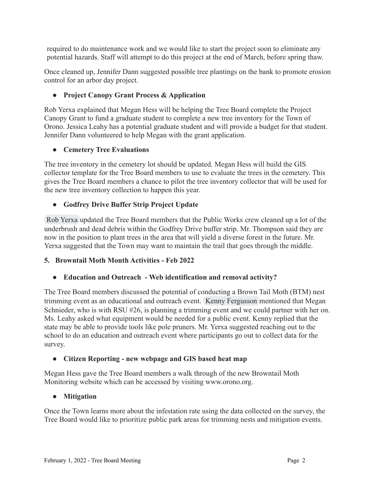required to do maintenance work and we would like to start the project soon to eliminate any potential hazards. Staff will attempt to do this project at the end of March, before spring thaw.

Once cleaned up, Jennifer Dann suggested possible tree plantings on the bank to promote erosion control for an arbor day project.

## **● Project Canopy Grant Process & Application**

Rob Yerxa explained that Megan Hess will be helping the Tree Board complete the Project Canopy Grant to fund a graduate student to complete a new tree inventory for the Town of Orono. Jessica Leahy has a potential graduate student and will provide a budget for that student. Jennifer Dann volunteered to help Megan with the grant application.

# **● Cemetery Tree Evaluations**

The tree inventory in the cemetery lot should be updated. Megan Hess will build the GIS collector template for the Tree Board members to use to evaluate the trees in the cemetery. This gives the Tree Board members a chance to pilot the tree inventory collector that will be used for the new tree inventory collection to happen this year.

# **● Godfrey Drive Buffer Strip Project Update**

[Rob Yerxa](mailto:ryerxa@orono.org) updated the Tree Board members that the Public Works crew cleaned up a lot of the underbrush and dead debris within the Godfrey Drive buffer strip. Mr. Thompson said they are now in the position to plant trees in the area that will yield a diverse forest in the future. Mr. Yerxa suggested that the Town may want to maintain the trail that goes through the middle.

## **5. Browntail Moth Month Activities - Feb 2022**

# **● Education and Outreach - Web identification and removal activity?**

The Tree Board members discussed the potential of conducting a Brown Tail Moth (BTM) nest trimming event as an educational and outreach event. [Kenny Fergusson](mailto:kennyfergusson1@gmail.com) mentioned that Megan Schnieder, who is with RSU #26, is planning a trimming event and we could partner with her on. Ms. Leahy asked what equipment would be needed for a public event. Kenny replied that the state may be able to provide tools like pole pruners. Mr. Yerxa suggested reaching out to the school to do an education and outreach event where participants go out to collect data for the survey.

## **● Citizen Reporting - new webpage and GIS based heat map**

Megan Hess gave the Tree Board members a walk through of the new Browntail Moth Monitoring website which can be accessed by visiting www.orono.org.

## **● Mitigation**

Once the Town learns more about the infestation rate using the data collected on the survey, the Tree Board would like to prioritize public park areas for trimming nests and mitigation events.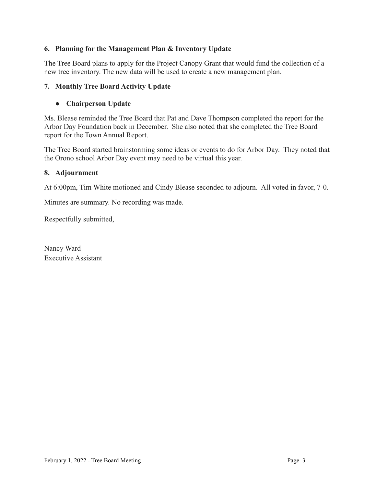### **6. Planning for the Management Plan & Inventory Update**

The Tree Board plans to apply for the Project Canopy Grant that would fund the collection of a new tree inventory. The new data will be used to create a new management plan.

### **7. Monthly Tree Board Activity Update**

### **● Chairperson Update**

Ms. Blease reminded the Tree Board that Pat and Dave Thompson completed the report for the Arbor Day Foundation back in December. She also noted that she completed the Tree Board report for the Town Annual Report.

The Tree Board started brainstorming some ideas or events to do for Arbor Day. They noted that the Orono school Arbor Day event may need to be virtual this year.

### **8. Adjournment**

At 6:00pm, Tim White motioned and Cindy Blease seconded to adjourn. All voted in favor, 7-0.

Minutes are summary. No recording was made.

Respectfully submitted,

Nancy Ward Executive Assistant